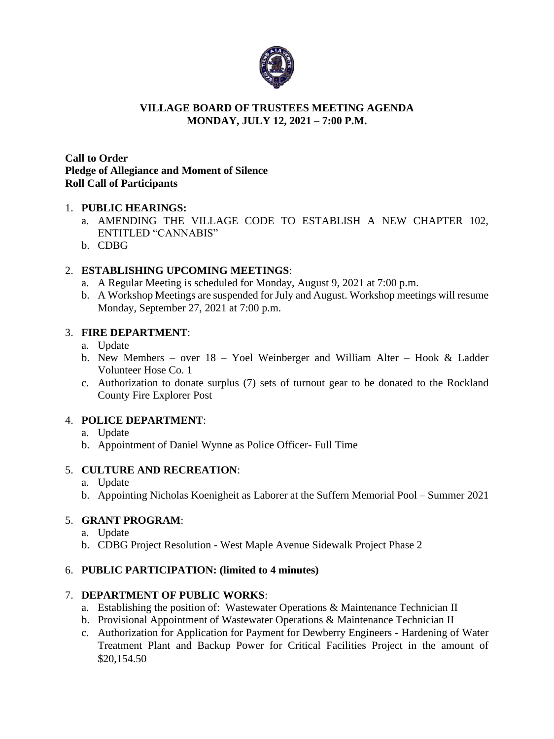

#### **VILLAGE BOARD OF TRUSTEES MEETING AGENDA MONDAY, JULY 12, 2021 – 7:00 P.M.**

### **Call to Order Pledge of Allegiance and Moment of Silence Roll Call of Participants**

### 1. **PUBLIC HEARINGS:**

- a. AMENDING THE VILLAGE CODE TO ESTABLISH A NEW CHAPTER 102, ENTITLED "CANNABIS"
- b. CDBG

## 2. **ESTABLISHING UPCOMING MEETINGS**:

- a. A Regular Meeting is scheduled for Monday, August 9, 2021 at 7:00 p.m.
- b. A Workshop Meetings are suspended for July and August. Workshop meetings will resume Monday, September 27, 2021 at 7:00 p.m.

### 3. **FIRE DEPARTMENT**:

- a. Update
- b. New Members over 18 Yoel Weinberger and William Alter Hook & Ladder Volunteer Hose Co. 1
- c. Authorization to donate surplus (7) sets of turnout gear to be donated to the Rockland County Fire Explorer Post

## 4. **POLICE DEPARTMENT**:

- a. Update
- b. Appointment of Daniel Wynne as Police Officer- Full Time

## 5. **CULTURE AND RECREATION**:

- a. Update
- b. Appointing Nicholas Koenigheit as Laborer at the Suffern Memorial Pool Summer 2021

## 5. **GRANT PROGRAM**:

- a. Update
- b. CDBG Project Resolution West Maple Avenue Sidewalk Project Phase 2

#### 6. **PUBLIC PARTICIPATION: (limited to 4 minutes)**

#### 7. **DEPARTMENT OF PUBLIC WORKS**:

- a. Establishing the position of: Wastewater Operations & Maintenance Technician II
- b. Provisional Appointment of Wastewater Operations & Maintenance Technician II
- c. Authorization for Application for Payment for Dewberry Engineers Hardening of Water Treatment Plant and Backup Power for Critical Facilities Project in the amount of \$20,154.50